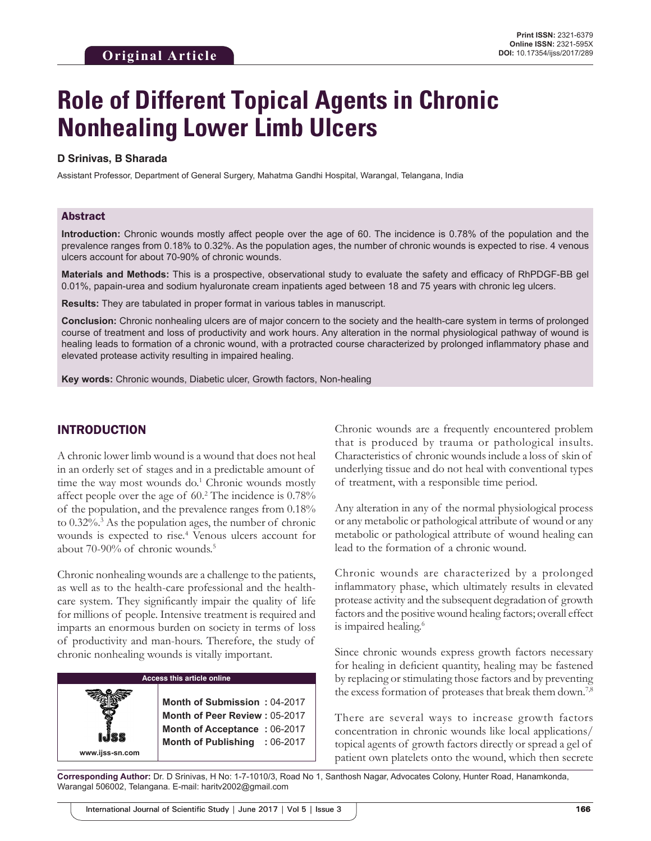# **Role of Different Topical Agents in Chronic Nonhealing Lower Limb Ulcers**

#### **D Srinivas, B Sharada**

Assistant Professor, Department of General Surgery, Mahatma Gandhi Hospital, Warangal, Telangana, India

#### Abstract

**Introduction:** Chronic wounds mostly affect people over the age of 60. The incidence is 0.78% of the population and the prevalence ranges from 0.18% to 0.32%. As the population ages, the number of chronic wounds is expected to rise. 4 venous ulcers account for about 70-90% of chronic wounds.

**Materials and Methods:** This is a prospective, observational study to evaluate the safety and efficacy of RhPDGF-BB gel 0.01%, papain-urea and sodium hyaluronate cream inpatients aged between 18 and 75 years with chronic leg ulcers.

**Results:** They are tabulated in proper format in various tables in manuscript.

**Conclusion:** Chronic nonhealing ulcers are of major concern to the society and the health-care system in terms of prolonged course of treatment and loss of productivity and work hours. Any alteration in the normal physiological pathway of wound is healing leads to formation of a chronic wound, with a protracted course characterized by prolonged inflammatory phase and elevated protease activity resulting in impaired healing.

**Key words:** Chronic wounds, Diabetic ulcer, Growth factors, Non-healing

# INTRODUCTION

A chronic lower limb wound is a wound that does not heal in an orderly set of stages and in a predictable amount of time the way most wounds do.<sup>1</sup> Chronic wounds mostly affect people over the age of 60.<sup>2</sup> The incidence is 0.78% of the population, and the prevalence ranges from 0.18% to 0.32%.<sup>3</sup> As the population ages, the number of chronic wounds is expected to rise.<sup>4</sup> Venous ulcers account for about 70-90% of chronic wounds.<sup>5</sup>

Chronic nonhealing wounds are a challenge to the patients, as well as to the health-care professional and the healthcare system. They significantly impair the quality of life for millions of people. Intensive treatment is required and imparts an enormous burden on society in terms of loss of productivity and man-hours. Therefore, the study of chronic nonhealing wounds is vitally important.

#### **Access this article online**

**Month of Submission :** 04-2017 **Month of Peer Review :** 05-2017 **Month of Acceptance :** 06-2017 **Month of Publishing :** 06-2017

**www.ijss-sn.com**

Chronic wounds are a frequently encountered problem that is produced by trauma or pathological insults. Characteristics of chronic wounds include a loss of skin of underlying tissue and do not heal with conventional types of treatment, with a responsible time period.

Any alteration in any of the normal physiological process or any metabolic or pathological attribute of wound or any metabolic or pathological attribute of wound healing can lead to the formation of a chronic wound.

Chronic wounds are characterized by a prolonged inflammatory phase, which ultimately results in elevated protease activity and the subsequent degradation of growth factors and the positive wound healing factors; overall effect is impaired healing.<sup>6</sup>

Since chronic wounds express growth factors necessary for healing in deficient quantity, healing may be fastened by replacing or stimulating those factors and by preventing the excess formation of proteases that break them down.<sup>7,8</sup>

There are several ways to increase growth factors concentration in chronic wounds like local applications/ topical agents of growth factors directly or spread a gel of patient own platelets onto the wound, which then secrete

**Corresponding Author:** Dr. D Srinivas, H No: 1-7-1010/3, Road No 1, Santhosh Nagar, Advocates Colony, Hunter Road, Hanamkonda, Warangal 506002, Telangana. E-mail: haritv2002@gmail.com

International Journal of Scientific Study | June 2017 | Vol 5 | Issue 3 **166 167** International Journal of Scientific Study | June 2017 | Vol 5 | Issue 3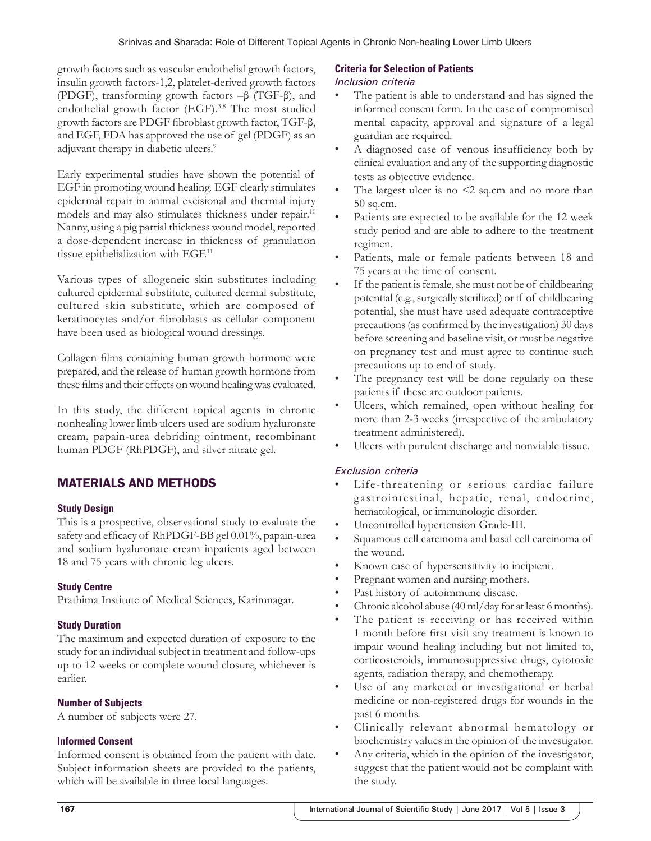growth factors such as vascular endothelial growth factors, insulin growth factors-1,2, platelet-derived growth factors (PDGF), transforming growth factors –β (TGF-β), and endothelial growth factor (EGF).<sup>3,8</sup> The most studied growth factors are PDGF fibroblast growth factor, TGF-β, and EGF, FDA has approved the use of gel (PDGF) as an adjuvant therapy in diabetic ulcers.<sup>9</sup>

Early experimental studies have shown the potential of EGF in promoting wound healing. EGF clearly stimulates epidermal repair in animal excisional and thermal injury models and may also stimulates thickness under repair.10 Nanny, using a pig partial thickness wound model, reported a dose-dependent increase in thickness of granulation tissue epithelialization with EGF.<sup>11</sup>

Various types of allogeneic skin substitutes including cultured epidermal substitute, cultured dermal substitute, cultured skin substitute, which are composed of keratinocytes and/or fibroblasts as cellular component have been used as biological wound dressings.

Collagen films containing human growth hormone were prepared, and the release of human growth hormone from these films and their effects on wound healing was evaluated.

In this study, the different topical agents in chronic nonhealing lower limb ulcers used are sodium hyaluronate cream, papain-urea debriding ointment, recombinant human PDGF (RhPDGF), and silver nitrate gel.

# MATERIALS AND METHODS

### **Study Design**

This is a prospective, observational study to evaluate the safety and efficacy of RhPDGF-BB gel 0.01%, papain-urea and sodium hyaluronate cream inpatients aged between 18 and 75 years with chronic leg ulcers.

# **Study Centre**

Prathima Institute of Medical Sciences, Karimnagar.

# **Study Duration**

The maximum and expected duration of exposure to the study for an individual subject in treatment and follow-ups up to 12 weeks or complete wound closure, whichever is earlier.

# **Number of Subjects**

A number of subjects were 27.

#### **Informed Consent**

Informed consent is obtained from the patient with date. Subject information sheets are provided to the patients, which will be available in three local languages.

## **Criteria for Selection of Patients**

### *Inclusion criteria*

- The patient is able to understand and has signed the informed consent form. In the case of compromised mental capacity, approval and signature of a legal guardian are required.
- A diagnosed case of venous insufficiency both by clinical evaluation and any of the supporting diagnostic tests as objective evidence.
- The largest ulcer is no  $\leq$  2 sq.cm and no more than 50 sq.cm.
- Patients are expected to be available for the 12 week study period and are able to adhere to the treatment regimen.
- Patients, male or female patients between 18 and 75 years at the time of consent.
- If the patient is female, she must not be of childbearing potential (e.g., surgically sterilized) or if of childbearing potential, she must have used adequate contraceptive precautions (as confirmed by the investigation) 30 days before screening and baseline visit, or must be negative on pregnancy test and must agree to continue such precautions up to end of study.
- The pregnancy test will be done regularly on these patients if these are outdoor patients.
- Ulcers, which remained, open without healing for more than 2-3 weeks (irrespective of the ambulatory treatment administered).
- Ulcers with purulent discharge and nonviable tissue.

# *Exclusion criteria*

- Life-threatening or serious cardiac failure gastrointestinal, hepatic, renal, endocrine, hematological, or immunologic disorder.
- Uncontrolled hypertension Grade-III.
- Squamous cell carcinoma and basal cell carcinoma of the wound.
- Known case of hypersensitivity to incipient.
- Pregnant women and nursing mothers.
- Past history of autoimmune disease.
- Chronic alcohol abuse (40 ml/day for at least 6 months).
- The patient is receiving or has received within 1 month before first visit any treatment is known to impair wound healing including but not limited to, corticosteroids, immunosuppressive drugs, cytotoxic agents, radiation therapy, and chemotherapy.
- Use of any marketed or investigational or herbal medicine or non-registered drugs for wounds in the past 6 months.
- Clinically relevant abnormal hematology or biochemistry values in the opinion of the investigator.
- Any criteria, which in the opinion of the investigator, suggest that the patient would not be complaint with the study.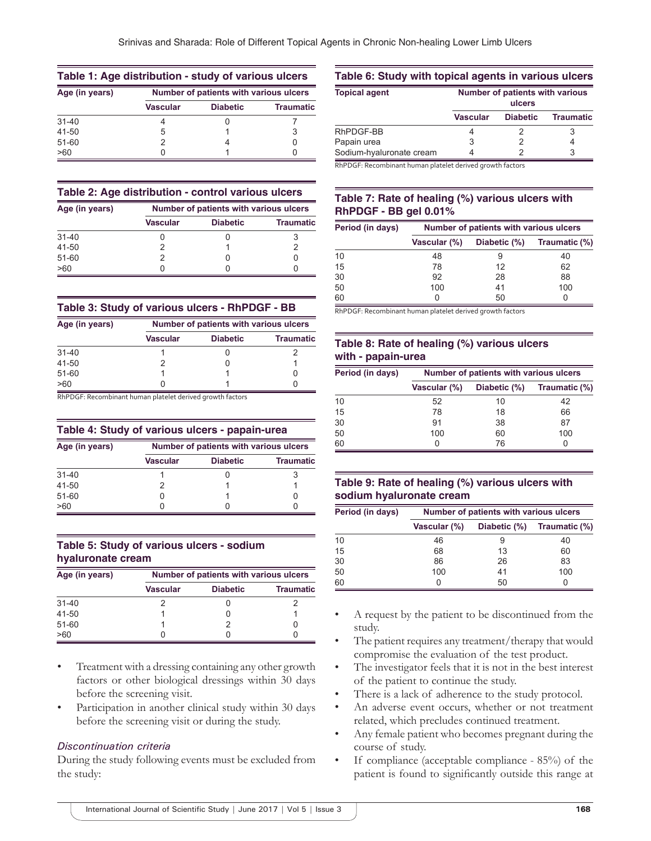| Table 1: Age distribution - study of various ulcers |                                        |                 |                  |  |
|-----------------------------------------------------|----------------------------------------|-----------------|------------------|--|
| Age (in years)                                      | Number of patients with various ulcers |                 |                  |  |
|                                                     | <b>Vascular</b>                        | <b>Diabetic</b> | <b>Traumatic</b> |  |
| $31 - 40$                                           |                                        |                 |                  |  |
| 41-50                                               | 5                                      |                 | 3                |  |
| $51 - 60$                                           | 2                                      |                 |                  |  |
| >60                                                 |                                        |                 |                  |  |

#### **Table 2: Age distribution ‑ control various ulcers**

| Age (in years) | Number of patients with various ulcers |                 |                  |  |
|----------------|----------------------------------------|-----------------|------------------|--|
|                | <b>Vascular</b>                        | <b>Diabetic</b> | <b>Traumatic</b> |  |
| $31 - 40$      |                                        |                 |                  |  |
| 41-50          |                                        |                 |                  |  |
| 51-60          |                                        |                 |                  |  |
| >60            | 0                                      |                 |                  |  |

#### **Table 3: Study of various ulcers ‑ RhPDGF ‑ BB**

| Age (in years) | Number of patients with various ulcers |                 |                  |  |
|----------------|----------------------------------------|-----------------|------------------|--|
|                | <b>Vascular</b>                        | <b>Diabetic</b> | <b>Traumatic</b> |  |
| $31 - 40$      |                                        |                 |                  |  |
| 41-50          |                                        |                 |                  |  |
| $51 - 60$      |                                        |                 |                  |  |
| >60            |                                        |                 |                  |  |

RhPDGF: Recombinant human platelet derived growth factors

#### **Table 4: Study of various ulcers ‑ papain‑urea**

| Age (in years) | Number of patients with various ulcers |                 |                  |  |
|----------------|----------------------------------------|-----------------|------------------|--|
|                | <b>Vascular</b>                        | <b>Diabetic</b> | <b>Traumatic</b> |  |
| $31 - 40$      |                                        |                 |                  |  |
| 41-50          |                                        |                 |                  |  |
| $51 - 60$      |                                        |                 |                  |  |
| >60            |                                        |                 |                  |  |

## **Table 5: Study of various ulcers ‑ sodium hyaluronate cream**

| Age (in years) | Number of patients with various ulcers |                 |                  |
|----------------|----------------------------------------|-----------------|------------------|
|                | <b>Vascular</b>                        | <b>Diabetic</b> | <b>Traumatic</b> |
| $31 - 40$      |                                        |                 |                  |
| 41-50          |                                        |                 |                  |
| 51-60          |                                        |                 |                  |
| >60            |                                        |                 |                  |

- Treatment with a dressing containing any other growth factors or other biological dressings within 30 days before the screening visit.
- Participation in another clinical study within 30 days before the screening visit or during the study.

### *Discontinuation criteria*

During the study following events must be excluded from the study:

#### **Table 6: Study with topical agents in various ulcers**

| <b>Topical agent</b>     | Number of patients with various<br>ulcers |                 |                  |  |
|--------------------------|-------------------------------------------|-----------------|------------------|--|
|                          | Vascular                                  | <b>Diabetic</b> | <b>Traumatic</b> |  |
| RhPDGF-BB                |                                           |                 |                  |  |
| Papain urea              | 3                                         |                 |                  |  |
| Sodium-hyaluronate cream |                                           |                 | 3                |  |

RhPDGF: Recombinant human platelet derived growth factors

# **Table 7: Rate of healing (%) various ulcers with RhPDGF ‑ BB gel 0.01%**

| Period (in days) | Number of patients with various ulcers |              |               |  |
|------------------|----------------------------------------|--------------|---------------|--|
|                  | <b>Vascular (%)</b>                    | Diabetic (%) | Traumatic (%) |  |
| 10               | 48                                     |              | 40            |  |
| 15               | 78                                     | 12           | 62            |  |
| 30               | 92                                     | 28           | 88            |  |
| 50               | 100                                    | 41           | 100           |  |
| 60               |                                        | 50           |               |  |

RhPDGF: Recombinant human platelet derived growth factors

# **Table 8: Rate of healing (%) various ulcers with ‑ papain‑urea**

| Period (in days) | Number of patients with various ulcers |              |               |
|------------------|----------------------------------------|--------------|---------------|
|                  | <b>Vascular (%)</b>                    | Diabetic (%) | Traumatic (%) |
| 10               | 52                                     | 10           | 42            |
| 15               | 78                                     | 18           | 66            |
| 30               | 91                                     | 38           | 87            |
| 50               | 100                                    | 60           | 100           |
| 60               |                                        | 76           | 0             |

## **Table 9: Rate of healing (%) various ulcers with sodium hyaluronate cream**

| Period (in days) | Number of patients with various ulcers |              |               |
|------------------|----------------------------------------|--------------|---------------|
|                  | Vascular (%)                           | Diabetic (%) | Traumatic (%) |
| 10               | 46                                     | 9            | 40            |
| 15               | 68                                     | 13           | 60            |
| 30               | 86                                     | 26           | 83            |
| 50               | 100                                    | 41           | 100           |
| 60               | Ω                                      | 50           | 0             |

- A request by the patient to be discontinued from the study.
- The patient requires any treatment/therapy that would compromise the evaluation of the test product.
- The investigator feels that it is not in the best interest of the patient to continue the study.
- There is a lack of adherence to the study protocol.
- An adverse event occurs, whether or not treatment related, which precludes continued treatment.
- Any female patient who becomes pregnant during the course of study.
- If compliance (acceptable compliance 85%) of the patient is found to significantly outside this range at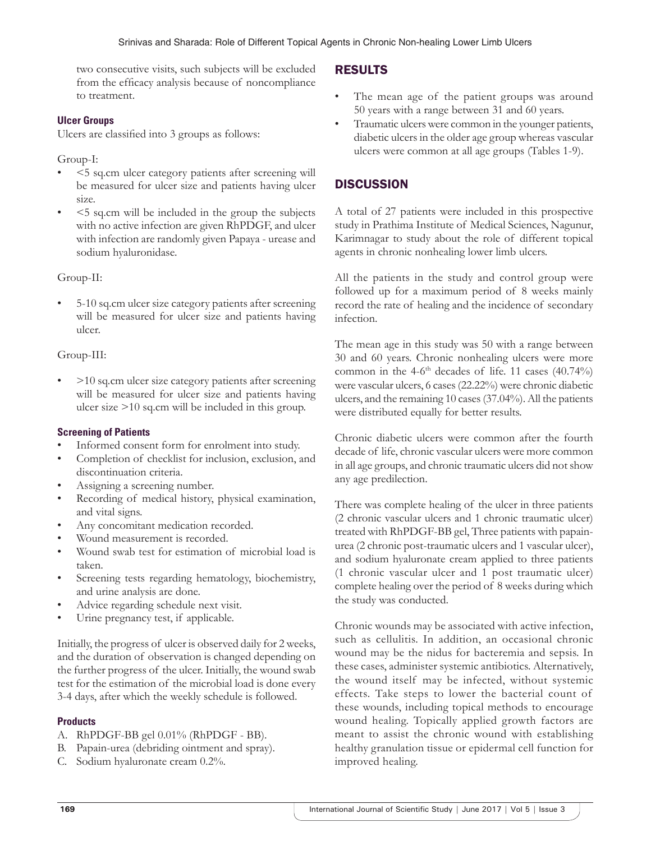two consecutive visits, such subjects will be excluded from the efficacy analysis because of noncompliance to treatment.

## **Ulcer Groups**

Ulcers are classified into 3 groups as follows:

Group-I:

- <5 sq.cm ulcer category patients after screening will be measured for ulcer size and patients having ulcer size.
- <5 sq.cm will be included in the group the subjects with no active infection are given RhPDGF, and ulcer with infection are randomly given Papaya - urease and sodium hyaluronidase.

Group-II:

• 5-10 sq.cm ulcer size category patients after screening will be measured for ulcer size and patients having ulcer.

## Group-III:

• >10 sq.cm ulcer size category patients after screening will be measured for ulcer size and patients having ulcer size >10 sq.cm will be included in this group.

#### **Screening of Patients**

- Informed consent form for enrolment into study.
- Completion of checklist for inclusion, exclusion, and discontinuation criteria.
- Assigning a screening number.
- Recording of medical history, physical examination, and vital signs.
- Any concomitant medication recorded.
- Wound measurement is recorded.
- Wound swab test for estimation of microbial load is taken.
- Screening tests regarding hematology, biochemistry, and urine analysis are done.
- Advice regarding schedule next visit.
- Urine pregnancy test, if applicable.

Initially, the progress of ulcer is observed daily for 2 weeks, and the duration of observation is changed depending on the further progress of the ulcer. Initially, the wound swab test for the estimation of the microbial load is done every 3-4 days, after which the weekly schedule is followed.

#### **Products**

- A. RhPDGF-BB gel 0.01% (RhPDGF BB).
- B. Papain-urea (debriding ointment and spray).
- C. Sodium hyaluronate cream 0.2%.

# RESULTS

- The mean age of the patient groups was around 50 years with a range between 31 and 60 years.
- Traumatic ulcers were common in the younger patients, diabetic ulcers in the older age group whereas vascular ulcers were common at all age groups (Tables 1-9).

# **DISCUSSION**

A total of 27 patients were included in this prospective study in Prathima Institute of Medical Sciences, Nagunur, Karimnagar to study about the role of different topical agents in chronic nonhealing lower limb ulcers.

All the patients in the study and control group were followed up for a maximum period of 8 weeks mainly record the rate of healing and the incidence of secondary infection.

The mean age in this study was 50 with a range between 30 and 60 years. Chronic nonhealing ulcers were more common in the 4-6<sup>th</sup> decades of life. 11 cases  $(40.74\%)$ were vascular ulcers, 6 cases (22.22%) were chronic diabetic ulcers, and the remaining 10 cases (37.04%). All the patients were distributed equally for better results.

Chronic diabetic ulcers were common after the fourth decade of life, chronic vascular ulcers were more common in all age groups, and chronic traumatic ulcers did not show any age predilection.

There was complete healing of the ulcer in three patients (2 chronic vascular ulcers and 1 chronic traumatic ulcer) treated with RhPDGF-BB gel, Three patients with papainurea (2 chronic post-traumatic ulcers and 1 vascular ulcer), and sodium hyaluronate cream applied to three patients (1 chronic vascular ulcer and 1 post traumatic ulcer) complete healing over the period of 8 weeks during which the study was conducted.

Chronic wounds may be associated with active infection, such as cellulitis. In addition, an occasional chronic wound may be the nidus for bacteremia and sepsis. In these cases, administer systemic antibiotics. Alternatively, the wound itself may be infected, without systemic effects. Take steps to lower the bacterial count of these wounds, including topical methods to encourage wound healing. Topically applied growth factors are meant to assist the chronic wound with establishing healthy granulation tissue or epidermal cell function for improved healing.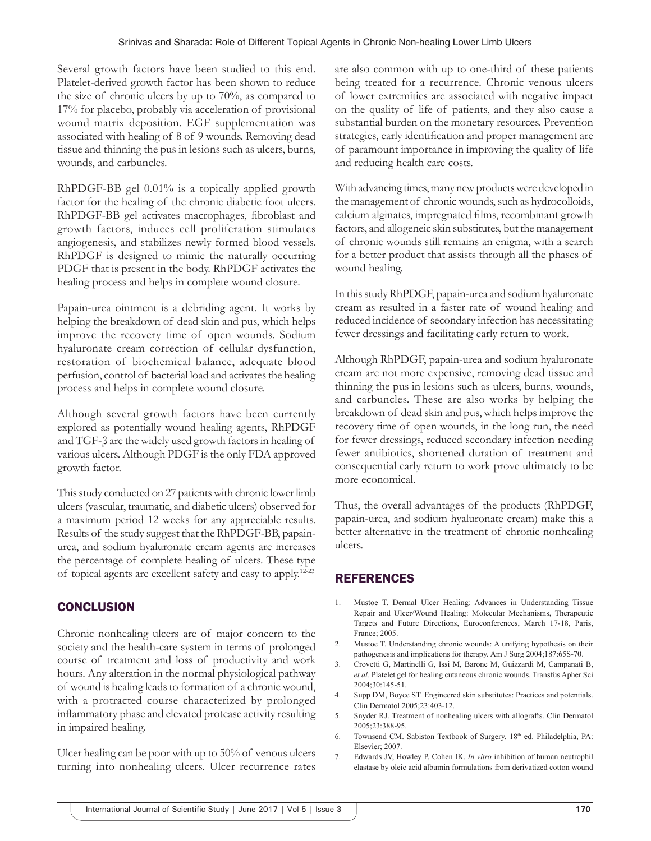Several growth factors have been studied to this end. Platelet-derived growth factor has been shown to reduce the size of chronic ulcers by up to 70%, as compared to 17% for placebo, probably via acceleration of provisional wound matrix deposition. EGF supplementation was associated with healing of 8 of 9 wounds. Removing dead tissue and thinning the pus in lesions such as ulcers, burns, wounds, and carbuncles.

RhPDGF-BB gel 0.01% is a topically applied growth factor for the healing of the chronic diabetic foot ulcers. RhPDGF-BB gel activates macrophages, fibroblast and growth factors, induces cell proliferation stimulates angiogenesis, and stabilizes newly formed blood vessels. RhPDGF is designed to mimic the naturally occurring PDGF that is present in the body. RhPDGF activates the healing process and helps in complete wound closure.

Papain-urea ointment is a debriding agent. It works by helping the breakdown of dead skin and pus, which helps improve the recovery time of open wounds. Sodium hyaluronate cream correction of cellular dysfunction, restoration of biochemical balance, adequate blood perfusion, control of bacterial load and activates the healing process and helps in complete wound closure.

Although several growth factors have been currently explored as potentially wound healing agents, RhPDGF and TGF-β are the widely used growth factors in healing of various ulcers. Although PDGF is the only FDA approved growth factor.

This study conducted on 27 patients with chronic lower limb ulcers (vascular, traumatic, and diabetic ulcers) observed for a maximum period 12 weeks for any appreciable results. Results of the study suggest that the RhPDGF-BB, papainurea, and sodium hyaluronate cream agents are increases the percentage of complete healing of ulcers. These type of topical agents are excellent safety and easy to apply.12-23

# **CONCLUSION**

Chronic nonhealing ulcers are of major concern to the society and the health-care system in terms of prolonged course of treatment and loss of productivity and work hours. Any alteration in the normal physiological pathway of wound is healing leads to formation of a chronic wound, with a protracted course characterized by prolonged inflammatory phase and elevated protease activity resulting in impaired healing.

Ulcer healing can be poor with up to 50% of venous ulcers turning into nonhealing ulcers. Ulcer recurrence rates are also common with up to one-third of these patients being treated for a recurrence. Chronic venous ulcers of lower extremities are associated with negative impact on the quality of life of patients, and they also cause a substantial burden on the monetary resources. Prevention strategies, early identification and proper management are of paramount importance in improving the quality of life and reducing health care costs.

With advancing times, many new products were developed in the management of chronic wounds, such as hydrocolloids, calcium alginates, impregnated films, recombinant growth factors, and allogeneic skin substitutes, but the management of chronic wounds still remains an enigma, with a search for a better product that assists through all the phases of wound healing.

In this study RhPDGF, papain-urea and sodium hyaluronate cream as resulted in a faster rate of wound healing and reduced incidence of secondary infection has necessitating fewer dressings and facilitating early return to work.

Although RhPDGF, papain-urea and sodium hyaluronate cream are not more expensive, removing dead tissue and thinning the pus in lesions such as ulcers, burns, wounds, and carbuncles. These are also works by helping the breakdown of dead skin and pus, which helps improve the recovery time of open wounds, in the long run, the need for fewer dressings, reduced secondary infection needing fewer antibiotics, shortened duration of treatment and consequential early return to work prove ultimately to be more economical.

Thus, the overall advantages of the products (RhPDGF, papain-urea, and sodium hyaluronate cream) make this a better alternative in the treatment of chronic nonhealing ulcers.

# **REFERENCES**

- 1. Mustoe T. Dermal Ulcer Healing: Advances in Understanding Tissue Repair and Ulcer/Wound Healing: Molecular Mechanisms, Therapeutic Targets and Future Directions, Euroconferences, March 17-18, Paris, France; 2005.
- 2. Mustoe T. Understanding chronic wounds: A unifying hypothesis on their pathogenesis and implications for therapy. Am J Surg 2004;187:65S-70.
- 3. Crovetti G, Martinelli G, Issi M, Barone M, Guizzardi M, Campanati B, *et al.* Platelet gel for healing cutaneous chronic wounds. Transfus Apher Sci 2004;30:145-51.
- 4. Supp DM, Boyce ST. Engineered skin substitutes: Practices and potentials. Clin Dermatol 2005;23:403-12.
- 5. Snyder RJ. Treatment of nonhealing ulcers with allografts. Clin Dermatol 2005;23:388-95.
- 6. Townsend CM. Sabiston Textbook of Surgery. 18<sup>th</sup> ed. Philadelphia, PA: Elsevier; 2007.
- 7. Edwards JV, Howley P, Cohen IK. *In vitro* inhibition of human neutrophil elastase by oleic acid albumin formulations from derivatized cotton wound